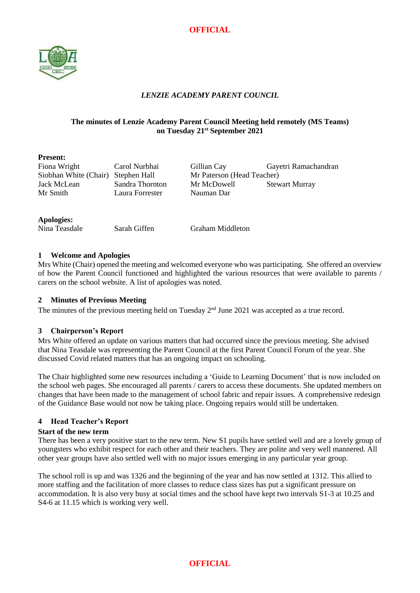



## *LENZIE ACADEMY PARENT COUNCIL*

## **The minutes of Lenzie Academy Parent Council Meeting held remotely (MS Teams) on Tuesday 21 st September 2021**

## **Present:**

Siobhan White (Chair) Stephen Hall Mr Paterson (Head Teacher) Mr Smith Laura Forrester Nauman Dar

Fiona Wright Carol Nurbhai Gillian Cay Gayetri Ramachandran Jack McLean Sandra Thornton Mr McDowell Stewart Murray

## **Apologies:**

Nina Teasdale Sarah Giffen Graham Middleton

## **1 Welcome and Apologies**

Mrs White (Chair) opened the meeting and welcomed everyone who was participating. She offered an overview of how the Parent Council functioned and highlighted the various resources that were available to parents / carers on the school website. A list of apologies was noted.

## **2 Minutes of Previous Meeting**

The minutes of the previous meeting held on Tuesday  $2<sup>nd</sup>$  June 2021 was accepted as a true record.

## **3 Chairperson's Report**

Mrs White offered an update on various matters that had occurred since the previous meeting. She advised that Nina Teasdale was representing the Parent Council at the first Parent Council Forum of the year. She discussed Covid related matters that has an ongoing impact on schooling.

The Chair highlighted some new resources including a 'Guide to Learning Document' that is now included on the school web pages. She encouraged all parents / carers to access these documents. She updated members on changes that have been made to the management of school fabric and repair issues. A comprehensive redesign of the Guidance Base would not now be taking place. Ongoing repairs would still be undertaken.

## **4 Head Teacher's Report**

### **Start of the new term**

There has been a very positive start to the new term. New S1 pupils have settled well and are a lovely group of youngsters who exhibit respect for each other and their teachers. They are polite and very well mannered. All other year groups have also settled well with no major issues emerging in any particular year group.

The school roll is up and was 1326 and the beginning of the year and has now settled at 1312. This allied to more staffing and the facilitation of more classes to reduce class sizes has put a significant pressure on accommodation. It is also very busy at social times and the school have kept two intervals S1-3 at 10.25 and S4-6 at 11.15 which is working very well.

**OFFICIAL**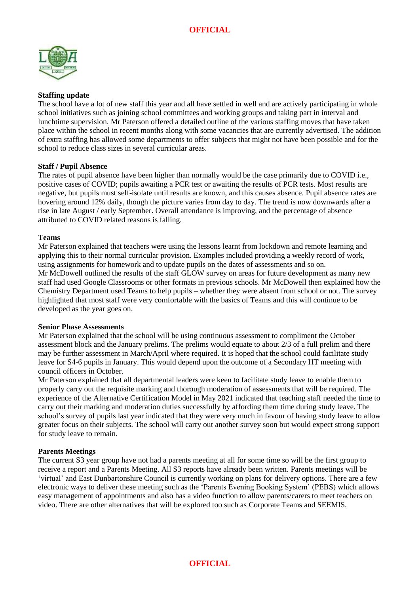

### **Staffing update**

The school have a lot of new staff this year and all have settled in well and are actively participating in whole school initiatives such as joining school committees and working groups and taking part in interval and lunchtime supervision. Mr Paterson offered a detailed outline of the various staffing moves that have taken place within the school in recent months along with some vacancies that are currently advertised. The addition of extra staffing has allowed some departments to offer subjects that might not have been possible and for the school to reduce class sizes in several curricular areas.

#### **Staff / Pupil Absence**

The rates of pupil absence have been higher than normally would be the case primarily due to COVID i.e., positive cases of COVID; pupils awaiting a PCR test or awaiting the results of PCR tests. Most results are negative, but pupils must self-isolate until results are known, and this causes absence. Pupil absence rates are hovering around 12% daily, though the picture varies from day to day. The trend is now downwards after a rise in late August / early September. Overall attendance is improving, and the percentage of absence attributed to COVID related reasons is falling.

#### **Teams**

Mr Paterson explained that teachers were using the lessons learnt from lockdown and remote learning and applying this to their normal curricular provision. Examples included providing a weekly record of work, using assignments for homework and to update pupils on the dates of assessments and so on. Mr McDowell outlined the results of the staff GLOW survey on areas for future development as many new staff had used Google Classrooms or other formats in previous schools. Mr McDowell then explained how the Chemistry Department used Teams to help pupils – whether they were absent from school or not. The survey highlighted that most staff were very comfortable with the basics of Teams and this will continue to be developed as the year goes on.

#### **Senior Phase Assessments**

Mr Paterson explained that the school will be using continuous assessment to compliment the October assessment block and the January prelims. The prelims would equate to about 2/3 of a full prelim and there may be further assessment in March/April where required. It is hoped that the school could facilitate study leave for S4-6 pupils in January. This would depend upon the outcome of a Secondary HT meeting with council officers in October.

Mr Paterson explained that all departmental leaders were keen to facilitate study leave to enable them to properly carry out the requisite marking and thorough moderation of assessments that will be required. The experience of the Alternative Certification Model in May 2021 indicated that teaching staff needed the time to carry out their marking and moderation duties successfully by affording them time during study leave. The school's survey of pupils last year indicated that they were very much in favour of having study leave to allow greater focus on their subjects. The school will carry out another survey soon but would expect strong support for study leave to remain.

### **Parents Meetings**

The current S3 year group have not had a parents meeting at all for some time so will be the first group to receive a report and a Parents Meeting. All S3 reports have already been written. Parents meetings will be 'virtual' and East Dunbartonshire Council is currently working on plans for delivery options. There are a few electronic ways to deliver these meeting such as the 'Parents Evening Booking System' (PEBS) which allows easy management of appointments and also has a video function to allow parents/carers to meet teachers on video. There are other alternatives that will be explored too such as Corporate Teams and SEEMIS.